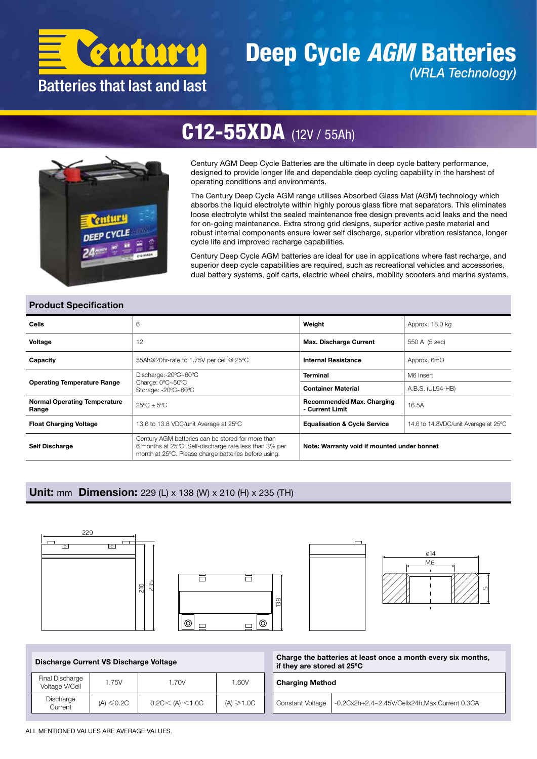

### Deep Cycle *AGM* Batteries *(VRLA Technology)*



## C12-55XDA (12V / 55Ah)

Century AGM Deep Cycle Batteries are the ultimate in deep cycle battery performance, designed to provide longer life and dependable deep cycling capability in the harshest of operating conditions and environments.

The Century Deep Cycle AGM range utilises Absorbed Glass Mat (AGM) technology which absorbs the liquid electrolyte within highly porous glass fibre mat separators. This eliminates loose electrolyte whilst the sealed maintenance free design prevents acid leaks and the need for on-going maintenance. Extra strong grid designs, superior active paste material and robust internal components ensure lower self discharge, superior vibration resistance, longer cycle life and improved recharge capabilities.

Century Deep Cycle AGM batteries are ideal for use in applications where fast recharge, and superior deep cycle capabilities are required, such as recreational vehicles and accessories, dual battery systems, golf carts, electric wheel chairs, mobility scooters and marine systems.

#### Product Specification

| Cells                                        | 6                                                                                                                                                                   | Weight                                              | Approx. 18.0 kg                      |  |  |  |
|----------------------------------------------|---------------------------------------------------------------------------------------------------------------------------------------------------------------------|-----------------------------------------------------|--------------------------------------|--|--|--|
| Voltage                                      | 12                                                                                                                                                                  | <b>Max. Discharge Current</b>                       | 550 A (5 sec)                        |  |  |  |
| Capacity                                     | 55Ah@20hr-rate to 1.75V per cell @ 25°C                                                                                                                             | <b>Internal Resistance</b>                          | Approx. $6m\Omega$                   |  |  |  |
|                                              | Discharge:-20°C~60°C                                                                                                                                                | <b>Terminal</b>                                     | M6 Insert                            |  |  |  |
| <b>Operating Temperature Range</b>           | Charge: 0°C~50°C<br>Storage: -20°C~60°C                                                                                                                             | <b>Container Material</b>                           | A.B.S. (UL94-HB)                     |  |  |  |
| <b>Normal Operating Temperature</b><br>Range | $25^{\circ}$ C + $5^{\circ}$ C                                                                                                                                      | <b>Recommended Max. Charging</b><br>- Current Limit | 16.5A                                |  |  |  |
| <b>Float Charging Voltage</b>                | 13.6 to 13.8 VDC/unit Average at 25°C                                                                                                                               | <b>Equalisation &amp; Cycle Service</b>             | 14.6 to 14.8VDC/unit Average at 25°C |  |  |  |
| <b>Self Discharge</b>                        | Century AGM batteries can be stored for more than<br>6 months at 25°C. Self-discharge rate less than 3% per<br>month at 25°C. Please charge batteries before using. | Note: Warranty void if mounted under bonnet         |                                      |  |  |  |

#### Unit: mm Dimension: 229 (L) x 138 (W) x 210 (H) x 235 (TH)









| Discharge Current VS Discharge Voltage |                 |                   |                | Ch<br>if t |
|----------------------------------------|-----------------|-------------------|----------------|------------|
| Final Discharge<br>Voltage V/Cell      | 1.75V           | 1.70V             | 1.60V          | Сh         |
| Discharge<br>Current                   | $(A) \leq 0.2C$ | 0.2C < (A) < 1.0C | $(A) \ge 1.0C$ | Cо         |

|  | Charge the batteries at least once a month every six months,<br>if they are stored at 25°C |                                                 |  |  |  |  |
|--|--------------------------------------------------------------------------------------------|-------------------------------------------------|--|--|--|--|
|  | <b>Charging Method</b>                                                                     |                                                 |  |  |  |  |
|  | Constant Voltage                                                                           | -0.2Cx2h+2.4~2.45V/Cellx24h, Max. Current 0.3CA |  |  |  |  |

ALL MENTIONED VALUES ARE AVERAGE VALUES.